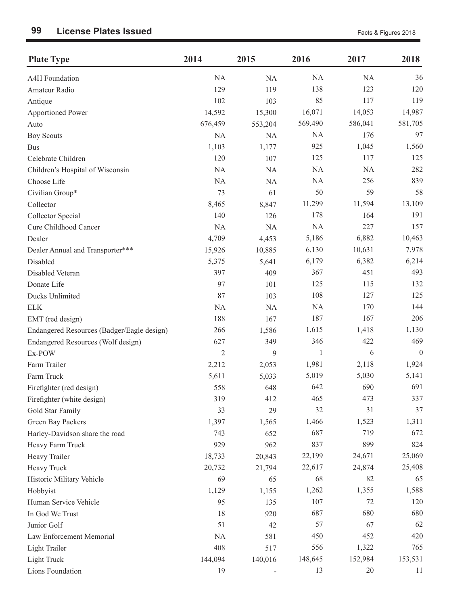| <b>Plate Type</b>                          | 2014           | 2015      | 2016         | 2017      | 2018             |
|--------------------------------------------|----------------|-----------|--------------|-----------|------------------|
| A4H Foundation                             | NA             | <b>NA</b> | NA           | <b>NA</b> | 36               |
| Amateur Radio                              | 129            | 119       | 138          | 123       | 120              |
| Antique                                    | 102            | 103       | 85           | 117       | 119              |
| <b>Apportioned Power</b>                   | 14,592         | 15,300    | 16,071       | 14,053    | 14,987           |
| Auto                                       | 676,459        | 553,204   | 569,490      | 586,041   | 581,705          |
| <b>Boy Scouts</b>                          | NA             | <b>NA</b> | NA           | 176       | 97               |
| <b>Bus</b>                                 | 1,103          | 1,177     | 925          | 1,045     | 1,560            |
| Celebrate Children                         | 120            | 107       | 125          | 117       | 125              |
| Children's Hospital of Wisconsin           | NA             | <b>NA</b> | NA           | <b>NA</b> | 282              |
| Choose Life                                | NA             | <b>NA</b> | NA           | 256       | 839              |
| Civilian Group*                            | 73             | 61        | 50           | 59        | 58               |
| Collector                                  | 8,465          | 8,847     | 11,299       | 11,594    | 13,109           |
| Collector Special                          | 140            | 126       | 178          | 164       | 191              |
| Cure Childhood Cancer                      | NA             | <b>NA</b> | NA           | 227       | 157              |
| Dealer                                     | 4,709          | 4,453     | 5,186        | 6,882     | 10,463           |
| Dealer Annual and Transporter***           | 15,926         | 10,885    | 6,130        | 10,631    | 7,978            |
| Disabled                                   | 5,375          | 5,641     | 6,179        | 6,382     | 6,214            |
| Disabled Veteran                           | 397            | 409       | 367          | 451       | 493              |
| Donate Life                                | 97             | 101       | 125          | 115       | 132              |
| Ducks Unlimited                            | 87             | 103       | 108          | 127       | 125              |
| <b>ELK</b>                                 | NA             | <b>NA</b> | NA           | 170       | 144              |
| EMT (red design)                           | 188            | 167       | 187          | 167       | 206              |
| Endangered Resources (Badger/Eagle design) | 266            | 1,586     | 1,615        | 1,418     | 1,130            |
| Endangered Resources (Wolf design)         | 627            | 349       | 346          | 422       | 469              |
| Ex-POW                                     | $\overline{2}$ | 9         | $\mathbf{1}$ | 6         | $\boldsymbol{0}$ |
| Farm Trailer                               | 2,212          | 2,053     | 1,981        | 2,118     | 1,924            |
| Farm Truck                                 | 5,611          | 5,033     | 5,019        | 5,030     | 5,141            |
| Firefighter (red design)                   | 558            | 648       | 642          | 690       | 691              |
| Firefighter (white design)                 | 319            | 412       | 465          | 473       | 337              |
| Gold Star Family                           | 33             | 29        | 32           | 31        | 37               |
| Green Bay Packers                          | 1,397          | 1,565     | 1,466        | 1,523     | 1,311            |
| Harley-Davidson share the road             | 743            | 652       | 687          | 719       | 672              |
| Heavy Farm Truck                           | 929            | 962       | 837          | 899       | 824              |
| Heavy Trailer                              | 18,733         | 20,843    | 22,199       | 24,671    | 25,069           |
| Heavy Truck                                | 20,732         | 21,794    | 22,617       | 24,874    | 25,408           |
| Historic Military Vehicle                  | 69             | 65        | 68           | 82        | 65               |
| Hobbyist                                   | 1,129          | 1,155     | 1,262        | 1,355     | 1,588            |
| Human Service Vehicle                      | 95             | 135       | 107          | 72        | 120              |
| In God We Trust                            | 18             | 920       | 687          | 680       | 680              |
| Junior Golf                                | 51             | 42        | 57           | 67        | 62               |
| Law Enforcement Memorial                   | NA             | 581       | 450          | 452       | 420              |
| Light Trailer                              | 408            | 517       | 556          | 1,322     | 765              |
| Light Truck                                | 144,094        | 140,016   | 148,645      | 152,984   | 153,531          |
| Lions Foundation                           | 19             |           | 13           | 20        | 11               |